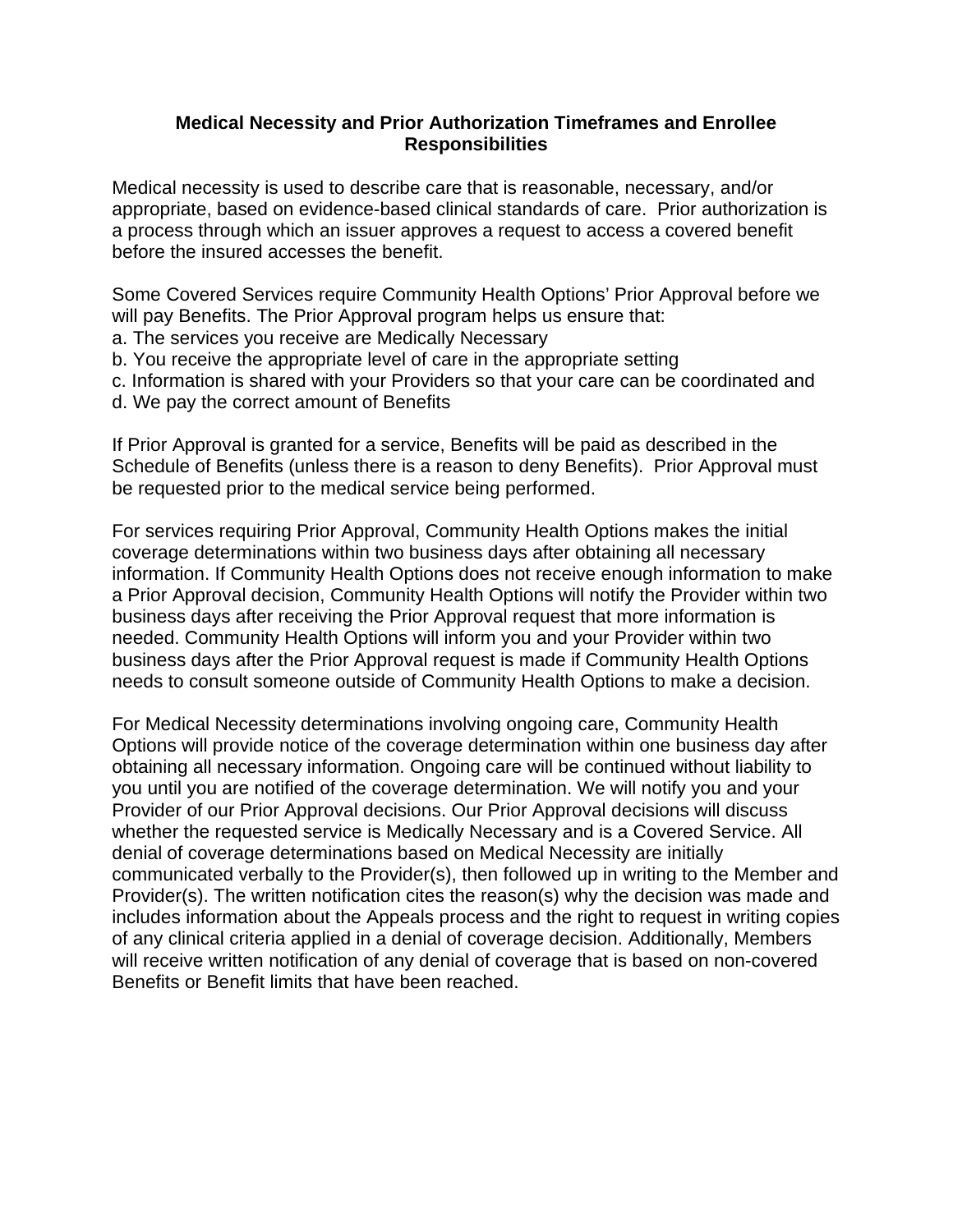## **Medical Necessity and Prior Authorization Timeframes and Enrollee Responsibilities**

Medical necessity is used to describe care that is reasonable, necessary, and/or appropriate, based on evidence-based clinical standards of care. Prior authorization is a process through which an issuer approves a request to access a covered benefit before the insured accesses the benefit.

Some Covered Services require Community Health Options' Prior Approval before we will pay Benefits. The Prior Approval program helps us ensure that:

a. The services you receive are Medically Necessary

b. You receive the appropriate level of care in the appropriate setting

c. Information is shared with your Providers so that your care can be coordinated and

d. We pay the correct amount of Benefits

If Prior Approval is granted for a service, Benefits will be paid as described in the Schedule of Benefits (unless there is a reason to deny Benefits). Prior Approval must be requested prior to the medical service being performed.

For services requiring Prior Approval, Community Health Options makes the initial coverage determinations within two business days after obtaining all necessary information. If Community Health Options does not receive enough information to make a Prior Approval decision, Community Health Options will notify the Provider within two business days after receiving the Prior Approval request that more information is needed. Community Health Options will inform you and your Provider within two business days after the Prior Approval request is made if Community Health Options needs to consult someone outside of Community Health Options to make a decision.

For Medical Necessity determinations involving ongoing care, Community Health Options will provide notice of the coverage determination within one business day after obtaining all necessary information. Ongoing care will be continued without liability to you until you are notified of the coverage determination. We will notify you and your Provider of our Prior Approval decisions. Our Prior Approval decisions will discuss whether the requested service is Medically Necessary and is a Covered Service. All denial of coverage determinations based on Medical Necessity are initially communicated verbally to the Provider(s), then followed up in writing to the Member and Provider(s). The written notification cites the reason(s) why the decision was made and includes information about the Appeals process and the right to request in writing copies of any clinical criteria applied in a denial of coverage decision. Additionally, Members will receive written notification of any denial of coverage that is based on non-covered Benefits or Benefit limits that have been reached.